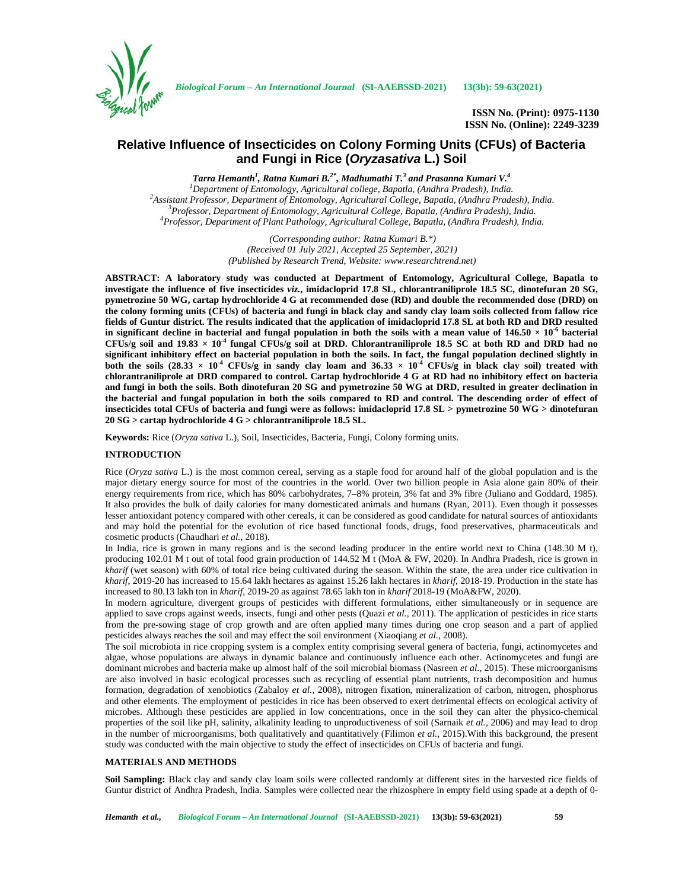

**ISSN No. (Print): 0975-1130 ISSN No. (Online): 2249-3239**

# **Relative Influence of Insecticides on Colony Forming Units (CFUs) of Bacteria and Fungi in Rice (***Oryzasativa* **L.) Soil**

*Tarra Hemanth<sup>1</sup> , Ratna Kumari B.2\*, Madhumathi T.<sup>3</sup> and Prasanna Kumari V.<sup>4</sup>* <sup>1</sup>Department of Entomology, Agricultural college, Bapatla, (Andhra Pradesh), India.<br><sup>2</sup>Assistant Professor, Department of Entomology, Agricultural College, Bapatla, (Andhra Pradesh), India.<br><sup>3</sup>Professor, Department of Ent

> *(Corresponding author: Ratna Kumari B.\*) (Received 01 July 2021, Accepted 25 September, 2021) (Published by Research Trend, Website: <www.researchtrend.net>)*

**ABSTRACT: A laboratory study was conducted at Department of Entomology, Agricultural College, Bapatla to investigate the influence of five insecticides** *viz.***, imidacloprid 17.8 SL, chlorantraniliprole 18.5 SC, dinotefuran 20 SG, pymetrozine 50 WG, cartap hydrochloride 4 G at recommended dose (RD) and double the recommended dose (DRD) on the colony forming units (CFUs) of bacteria and fungi in black clay and sandy clay loam soils collected from fallow rice fields of Guntur district. The results indicated that the application of imidacloprid 17.8 SL at both RD and DRD resulted in significant decline in bacterial and fungal population in both the soils with a mean value of**  $146.50 \times 10^{-6}$  **bacterial**  $CFUs/g$  soil and  $19.83 \times 10^4$  fungal  $CFUs/g$  soil at DRD. Chlorantraniliprole 18.5 SC at both RD and DRD had no **significant inhibitory effect on bacterial population in both the soils. In fact, the fungal population declined slightly in both the soils**  $(28.33 \times 10^4 \text{ CFUs/g in sandy clay loan and } 36.33 \times 10^4 \text{ CFUs/g in black clay soil treated with}$ **chlorantraniliprole at DRD compared to control. Cartap hydrochloride 4 G at RD had no inhibitory effect on bacteria and fungi in both the soils. Both dinotefuran 20 SG and pymetrozine 50 WG at DRD, resulted in greater declination in the bacterial and fungal population in both the soils compared to RD and control. The descending order of effect of insecticides total CFUs of bacteria and fungi were as follows: imidacloprid 17.8 SL > pymetrozine 50 WG > dinotefuran 20 SG > cartap hydrochloride 4 G > chlorantraniliprole 18.5 SL.**

**Keywords:** Rice (*Oryza sativa* L.), Soil, Insecticides, Bacteria, Fungi, Colony forming units.

### **INTRODUCTION**

Rice (*Oryza sativa* L.) is the most common cereal, serving as a staple food for around half of the global population and is the major dietary energy source for most of the countries in the world. Over two billion people in Asia alone gain 80% of their energy requirements from rice, which has 80% carbohydrates, 7–8% protein, 3% fat and 3% fibre (Juliano and Goddard, 1985). It also provides the bulk of daily calories for many domesticated animals and humans (Ryan, 2011). Even though it possesses lesser antioxidant potency compared with other cereals, it can be considered as good candidate for natural sources of antioxidants and may hold the potential for the evolution of rice based functional foods, drugs, food preservatives, pharmaceuticals and cosmetic products (Chaudhari *et al.*, 2018).

In India, rice is grown in many regions and is the second leading producer in the entire world next to China (148.30 M t), producing 102.01 M t out of total food grain production of 144.52 M t (MoA & FW, 2020). In Andhra Pradesh, rice is grown in *kharif* (wet season) with 60% of total rice being cultivated during the season. Within the state, the area under rice cultivation in *kharif*, 2019-20 has increased to 15.64 lakh hectares as against 15.26 lakh hectares in *kharif*, 2018-19. Production in the state has increased to 80.13 lakh ton in *kharif*, 2019-20 as against 78.65 lakh ton in *kharif* 2018-19 (MoA&FW, 2020).

In modern agriculture, divergent groups of pesticides with different formulations, either simultaneously or in sequence are applied to save crops against weeds, insects, fungi and other pests (Quazi *et al.,* 2011). The application of pesticides in rice starts from the pre-sowing stage of crop growth and are often applied many times during one crop season and a part of applied pesticides always reaches the soil and may effect the soil environment (Xiaoqiang *et al.*, 2008).

The soil microbiota in rice cropping system is a complex entity comprising several genera of bacteria, fungi, actinomycetes and algae, whose populations are always in dynamic balance and continuously influence each other. Actinomycetes and fungi are dominant microbes and bacteria make up almost half of the soil microbial biomass (Nasreen *et al.,* 2015). These microorganisms are also involved in basic ecological processes such as recycling of essential plant nutrients, trash decomposition and humus formation, degradation of xenobiotics (Zabaloy *et al.,* 2008), nitrogen fixation, mineralization of carbon, nitrogen, phosphorus and other elements. The employment of pesticides in rice has been observed to exert detrimental effects on ecological activity of microbes. Although these pesticides are applied in low concentrations, once in the soil they can alter the physico-chemical properties of the soil like pH, salinity, alkalinity leading to unproductiveness of soil (Sarnaik *et al.,* 2006) and may lead to drop in the number of microorganisms, both qualitatively and quantitatively (Filimon *et al.,* 2015).With this background, the present study was conducted with the main objective to study the effect of insecticides on CFUs of bacteria and fungi.

## **MATERIALS AND METHODS**

**Soil Sampling:** Black clay and sandy clay loam soils were collected randomly at different sites in the harvested rice fields of Guntur district of Andhra Pradesh, India. Samples were collected near the rhizosphere in empty field using spade at a depth of 0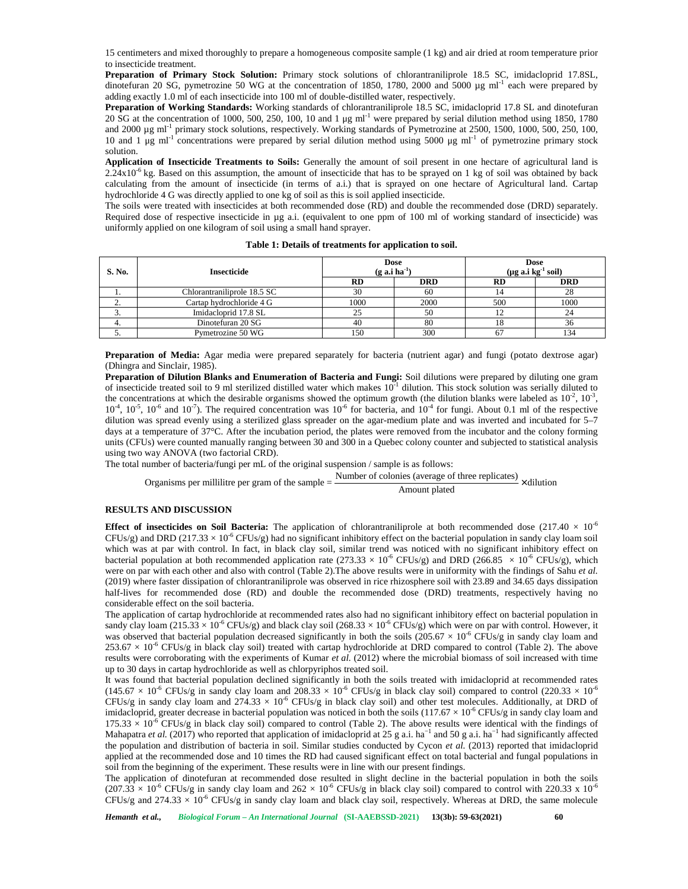15 centimeters and mixed thoroughly to prepare a homogeneous composite sample (1 kg) and air dried at room temperature prior to insecticide treatment.

**Preparation of Primary Stock Solution:** Primary stock solutions of chlorantraniliprole 18.5 SC, imidacloprid 17.8SL, dinotefuran 20 SG, pymetrozine 50 WG at the concentration of 1850, 1780, 2000 and 5000  $\mu$ g ml<sup>-1</sup> each were prepared by adding exactly 1.0 ml of each insecticide into 100 ml of double-distilled water, respectively.

**Preparation of Working Standards:** Working standards of chlorantraniliprole 18.5 SC, imidacloprid 17.8 SL and dinotefuran 20 SG at the concentration of 1000, 500, 250, 100, 10 and 1  $\mu$ g ml<sup>-1</sup> were prepared by serial dilution method using 1850, 1780 and 2000  $\mu$ g ml<sup>-1</sup> primary stock solutions, respectively. Working standards of Pymetrozine at 2500, 1500, 1000, 500, 250, 100, 10 and 1 μg ml<sup>-1</sup> concentrations were prepared by serial dilution method using 5000 μg ml<sup>-1</sup> of pymetrozine primary stock solution.

**Application of Insecticide Treatments to Soils:** Generally the amount of soil present in one hectare of agricultural land is  $2.24x10^{-6}$  kg. Based on this assumption, the amount of insecticide that has to be sprayed on 1 kg of soil was obtained by back calculating from the amount of insecticide (in terms of a.i.) that is sprayed on one hectare of Agricultural land. Cartap hydrochloride 4 G was directly applied to one kg of soil as this is soil applied insecticide.

The soils were treated with insecticides at both recommended dose (RD) and double the recommended dose (DRD) separately. Required dose of respective insecticide in µg a.i. (equivalent to one ppm of 100 ml of working standard of insecticide) was uniformly applied on one kilogram of soil using a small hand sprayer.

| S. No.           | <b>Insecticide</b>                                                                                                                                                                                                                                                                                                                                                                                                                                                                                                                                                                                                                                                                                                                                                                                                                                                                                                                                                                                            | <b>Dose</b><br>$(g \text{ a.i ha}^{-1})$ |               | <b>Dose</b><br>$(\mu g a.i kg^{-1} soil)$ |            |
|------------------|---------------------------------------------------------------------------------------------------------------------------------------------------------------------------------------------------------------------------------------------------------------------------------------------------------------------------------------------------------------------------------------------------------------------------------------------------------------------------------------------------------------------------------------------------------------------------------------------------------------------------------------------------------------------------------------------------------------------------------------------------------------------------------------------------------------------------------------------------------------------------------------------------------------------------------------------------------------------------------------------------------------|------------------------------------------|---------------|-------------------------------------------|------------|
|                  |                                                                                                                                                                                                                                                                                                                                                                                                                                                                                                                                                                                                                                                                                                                                                                                                                                                                                                                                                                                                               | RD                                       | <b>DRD</b>    | <b>RD</b>                                 | <b>DRD</b> |
| 1.               | Chlorantraniliprole 18.5 SC                                                                                                                                                                                                                                                                                                                                                                                                                                                                                                                                                                                                                                                                                                                                                                                                                                                                                                                                                                                   | 30                                       | 60            | 14                                        | 28         |
| $\overline{2}$ . | Cartap hydrochloride 4 G                                                                                                                                                                                                                                                                                                                                                                                                                                                                                                                                                                                                                                                                                                                                                                                                                                                                                                                                                                                      | 1000                                     | 2000          | 500                                       | 1000       |
| $\overline{3}$ . | Imidacloprid 17.8 SL                                                                                                                                                                                                                                                                                                                                                                                                                                                                                                                                                                                                                                                                                                                                                                                                                                                                                                                                                                                          | 25                                       | 50            | 12                                        | 24         |
| 4.               | Dinotefuran 20 SG                                                                                                                                                                                                                                                                                                                                                                                                                                                                                                                                                                                                                                                                                                                                                                                                                                                                                                                                                                                             | 40                                       | 80            | 18                                        | 36         |
| 5.               | Pymetrozine 50 WG                                                                                                                                                                                                                                                                                                                                                                                                                                                                                                                                                                                                                                                                                                                                                                                                                                                                                                                                                                                             | 150                                      | 300           | 67                                        | 134        |
|                  | the concentrations at which the desirable organisms showed the optimum growth (the dilution blanks were labeled as $10^{-2}$ , $10^{-3}$ ,<br>$10^4$ , $10^5$ , $10^6$ and $10^7$ ). The required concentration was $10^6$ for bacteria, and $10^4$ for fungi. About 0.1 ml of the respective<br>dilution was spread evenly using a sterilized glass spreader on the agar-medium plate and was inverted and incubated for 5–7<br>days at a temperature of 37°C. After the incubation period, the plates were removed from the incubator and the colony forming<br>units (CFUs) were counted manually ranging between 30 and 300 in a Quebec colony counter and subjected to statistical analysis<br>using two way ANOVA (two factorial CRD).<br>The total number of bacteria/fungi per mL of the original suspension / sample is as follows:<br>Organisms per millilitre per gram of the sample = $\frac{\text{Number of colonies (average of three replicates)}}{\text{Number of colonies}}$ \times dilution |                                          | Amount plated |                                           |            |
|                  | <b>RESULTS AND DISCUSSION</b>                                                                                                                                                                                                                                                                                                                                                                                                                                                                                                                                                                                                                                                                                                                                                                                                                                                                                                                                                                                 |                                          |               |                                           |            |
|                  | <b>Effect of insecticides on Soil Bacteria:</b> The application of chlorantraniliprole at both recommended dose $(217.40 \times 10^{-6})$<br>$CFUs/g$ ) and DRD (217.33 × 10 <sup>-6</sup> CFUs/g) had no significant inhibitory effect on the bacterial population in sandy clay loam soil<br>which was at par with control. In fact, in black clay soil, similar trend was noticed with no significant inhibitory effect on                                                                                                                                                                                                                                                                                                                                                                                                                                                                                                                                                                                 |                                          |               |                                           |            |

**Table 1: Details of treatments for application to soil.**

# **RESULTS AND DISCUSSION**

**Effect of insecticides on Soil Bacteria:** The application of chlorantraniliprole at both recommended dose  $(217.40 \times 10^{-6})$  $CFUs/g$ ) and DRD (217.33  $\times$  10<sup>-6</sup> CFUs/g) had no significant inhibitory effect on the bacterial population in sandy clay loam soil which was at par with control. In fact, in black clay soil, similar trend was noticed with no significant inhibitory effect on bacterial population at both recommended application rate (273.33  $\times$  10<sup>-6</sup> CFUs/g) and DRD (266.85  $\times$  10<sup>-6</sup> CFUs/g), which were on par with each other and also with control (Table 2).The above results were in uniformity with the findings of Sahu *et al.* (2019) where faster dissipation of chlorantraniliprole was observed in rice rhizosphere soil with 23.89 and 34.65 days dissipation half-lives for recommended dose (RD) and double the recommended dose (DRD) treatments, respectively having no considerable effect on the soil bacteria.

The application of cartap hydrochloride at recommended rates also had no significant inhibitory effect on bacterial population in sandy clay loam (215.33  $\times$  10<sup>-6</sup> CFUs/g) and black clay soil (268.33  $\times$  10<sup>-6</sup> CFUs/g) which were on par with control. However, it was observed that bacterial population decreased significantly in both the soils  $(205.67 \times 10^{-6} \text{ CFUs/g in sandy }$  clay loam and  $253.67 \times 10^{-6}$  CFUs/g in black clay soil) treated with cartap hydrochloride at DRD compared to control (Table 2). The above results were corroborating with the experiments of Kumar *et al.* (2012) where the microbial biomass of soil increased with time up to 30 days in cartap hydrochloride as well as chlorpyriphos treated soil.

It was found that bacterial population declined significantly in both the soils treated with imidacloprid at recommended rates  $(145.67 \times 10^{-6} \text{ CFUs/g in sandy clay loan and } 208.33 \times 10^{-6} \text{ CFUs/g in black clay soil) compared to control } (220.33 \times 10^{-6} \text{ CFUs/g in sandy})$ CFUs/g in sandy clay loam and  $274.33 \times 10^{-6}$  CFUs/g in black clay soil) and other test molecules. Additionally, at DRD of imidacloprid, greater decrease in bacterial population was noticed in both the soils ( $117.67 \times 10^{-6}$  CFUs/g in sandy clay loam and  $175.33 \times 10^{-6}$  CFUs/g in black clay soil) compared to control (Table 2). The above results were identical with the findings of Mahapatra *et al.* (2017) who reported that application of imidacloprid at 25 g a.i. ha<sup>-1</sup> and 50 g a.i. ha<sup>-1</sup> had significantly affected the population and distribution of bacteria in soil. Similar studies conducted by Cycon *et al.* (2013) reported that imidacloprid applied at the recommended dose and 10 times the RD had caused significant effect on total bacterial and fungal populations in soil from the beginning of the experiment. These results were in line with our present findings.

The application of dinotefuran at recommended dose resulted in slight decline in the bacterial population in both the soils  $(207.33 \times 10^{-6} \text{ CFUs/g}$  in sandy clay loam and  $262 \times 10^{-6} \text{ CFUs/g}$  in black clay soil) compared to control with 220.33 x 10<sup>-6</sup> CFUs/g and 274.33  $\times$  10<sup>-6</sup> CFUs/g in sandy clay loam and black clay soil, respectively. Whereas at DRD, the same molecule

*Hemanth et al., Biological Forum – An International Journal* **(SI-AAEBSSD-2021) 13(3b): 59-63(2021) 60**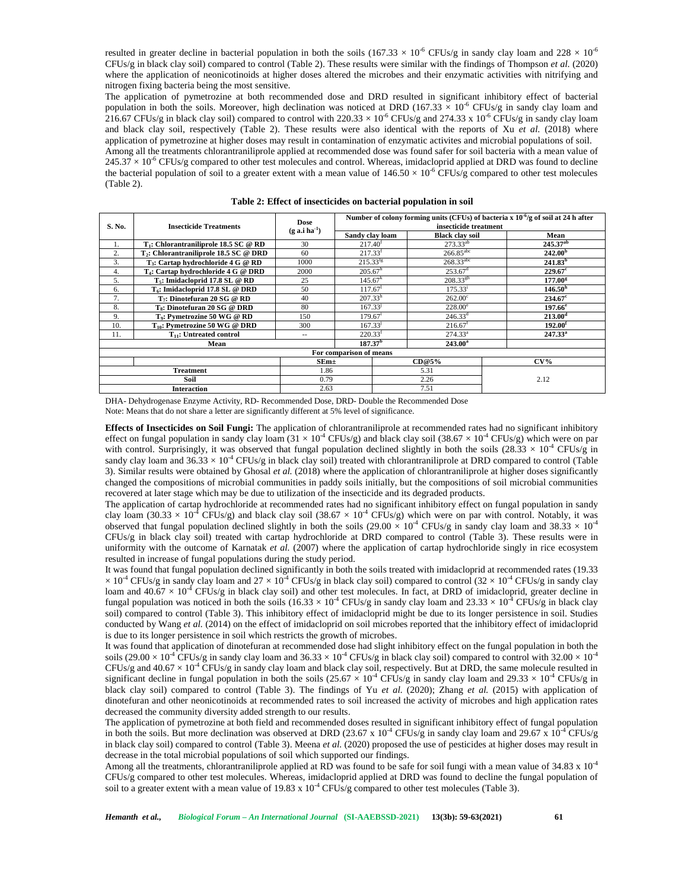resulted in greater decline in bacterial population in both the soils (167.33  $\times$  10<sup>-6</sup> CFUs/g in sandy clay loam and 228  $\times$  10<sup>-6</sup> CFUs/g in black clay soil) compared to control (Table 2). These results were similar with the findings of Thompson *et al.* (2020) where the application of neonicotinoids at higher doses altered the microbes and their enzymatic activities with nitrifying and nitrogen fixing bacteria being the most sensitive.

The application of pymetrozine at both recommended dose and DRD resulted in significant inhibitory effect of bacterial population in both the soils. Moreover, high declination was noticed at DRD (167.33  $\times$  10<sup>-6</sup> CFUs/g in sandy clay loam and 216.67 CFUs/g in black clay soil) compared to control with 220.33  $\times$  10<sup>-6</sup> CFUs/g and 274.33 x 10<sup>-6</sup> CFUs/g in sandy clay loam and black clay soil, respectively (Table 2). These results were also identical with the reports of Xu *et al.* (2018) where application of pymetrozine at higher doses may result in contamination of enzymatic activites and microbial populations of soil. Among all the treatments chlorantraniliprole applied at recommended dose was found safer for soil bacteria with a mean value of  $245.37 \times 10^{-6}$  CFUs/g compared to other test molecules and control. Whereas, imidacloprid applied at DRD was found to decline the bacterial population of soil to a greater extent with a mean value of  $146.50 \times 10^{-6}$  CFUs/g compared to other test molecules (Table 2).

| S. No.                  | <b>Insecticide Treatments</b>                   | <b>Dose</b><br>$(g$ a.i ha <sup>-1</sup> ) | Number of colony forming units (CFUs) of bacteria x $10^{-6}/g$ of soil at 24 h after<br>insecticide treatment |                                       |                                  |                      |  |  |
|-------------------------|-------------------------------------------------|--------------------------------------------|----------------------------------------------------------------------------------------------------------------|---------------------------------------|----------------------------------|----------------------|--|--|
|                         |                                                 |                                            | Sandy clay loam                                                                                                |                                       | <b>Black clav soil</b>           | Mean                 |  |  |
| Ι.                      | $T_1$ : Chlorantraniliprole 18.5 SC @ RD        | 30                                         | $217.40^{f}$                                                                                                   |                                       | $273.33^{ab}$                    | 245.37 <sup>ab</sup> |  |  |
| 2.                      | $T_2$ : Chlorantraniliprole 18.5 SC @ DRD       | 60                                         | 217.33 <sup>f</sup>                                                                                            |                                       | $266.\overline{85}^{\text{abc}}$ | 242.00 <sup>b</sup>  |  |  |
| 3.                      | $T_3$ : Cartap hydrochloride 4 G @ RD           | 1000                                       | $215.33$ <sup>fg</sup>                                                                                         |                                       | $268.33^{\overline{abc}}$        | 241.83 <sup>b</sup>  |  |  |
| 4.                      | T <sub>4</sub> : Cartap hydrochloride 4 G @ DRD | 2000                                       |                                                                                                                | $205.67^{\rm h}$                      |                                  | $229.67^{\circ}$     |  |  |
| 5.                      | $T5$ : Imidacloprid 17.8 SL @ RD                | 25                                         | $145.67^k$                                                                                                     |                                       | $208.33^{gh}$                    | 177.00 <sup>g</sup>  |  |  |
| 6.                      | T <sub>6</sub> : Imidacloprid 17.8 SL @ DRD     | 50                                         | $117.67$ <sup>1</sup>                                                                                          |                                       | 175.33 <sup>i</sup>              | 146.50 <sup>h</sup>  |  |  |
| 7.                      | $T_7$ : Dinotefuran 20 SG @ RD                  | 40                                         |                                                                                                                | $207.33^{h}$<br>$262.00^{\circ}$      |                                  | $234.67^{\circ}$     |  |  |
| 8.                      | T <sub>s</sub> : Dinotefuran 20 SG @ DRD        | 80                                         | $167.33^{j}$                                                                                                   |                                       | $228.00^{\circ}$                 | $197.66^{\circ}$     |  |  |
| 9.                      | T <sub>9</sub> : Pymetrozine 50 WG @ RD         | 150                                        |                                                                                                                | $246.33^{d}$<br>$179.67$ <sup>1</sup> |                                  | 213.00 <sup>d</sup>  |  |  |
| 10.                     | $T_{10}$ : Pymetrozine 50 WG @ DRD              | 300                                        |                                                                                                                | $167.33^{j}$<br>$216.67$ <sup>t</sup> |                                  | 192.00 <sup>r</sup>  |  |  |
| 11.                     | $T_{11}$ : Untreated control                    | $-1$                                       | 220.33 <sup>f</sup>                                                                                            | 274.33 <sup>a</sup>                   |                                  | 247.33 <sup>a</sup>  |  |  |
|                         | Mean                                            |                                            | 187.37 <sup>b</sup>                                                                                            |                                       | $243.00^a$                       |                      |  |  |
| For comparison of means |                                                 |                                            |                                                                                                                |                                       |                                  |                      |  |  |
|                         | $SEm\pm$                                        |                                            |                                                                                                                | CD@5%                                 |                                  | $CV\%$               |  |  |
|                         | <b>Treatment</b>                                | 1.86                                       |                                                                                                                | 5.31                                  |                                  |                      |  |  |
| Soil                    |                                                 | 0.79                                       |                                                                                                                | 2.26                                  |                                  | 2.12                 |  |  |
| <b>Interaction</b>      |                                                 | 2.63                                       |                                                                                                                | 7.51                                  |                                  |                      |  |  |

DHA- Dehydrogenase Enzyme Activity, RD- Recommended Dose, DRD- Double the Recommended Dose

Note: Means that do not share a letter are significantly different at 5% level of significance.

**Effects of Insecticides on Soil Fungi:** The application of chlorantraniliprole at recommended rates had no significant inhibitory effect on fungal population in sandy clay loam (31 × 10<sup>-4</sup> CFUs/g) and black clay soil (38.67 × 10<sup>-4</sup> CFUs/g) which were on par with control. Surprisingly, it was observed that fungal population declined slightly in both the soils  $(28.33 \times 10^4 \text{ CFUs/g in})$ sandy clay loam and  $36.33 \times 10^4$  CFUs/g in black clay soil) treated with chlorantraniliprole at DRD compared to control (Table 3). Similar results were obtained by Ghosal *et al.* (2018) where the application of chlorantraniliprole at higher doses significantly changed the compositions of microbial communities in paddy soils initially, but the compositions of soil microbial communities recovered at later stage which may be due to utilization of the insecticide and its degraded products.

The application of cartap hydrochloride at recommended rates had no significant inhibitory effect on fungal population in sandy clay loam (30.33 × 10<sup>-4</sup> CFUs/g) and black clay soil (38.67 × 10<sup>-4</sup> CFUs/g) which were on par with control. Notably, it was observed that fungal population declined slightly in both the soils  $(29.00 \times 10^{-4} \text{ CFUs/g in sandy clay loan and } 38.33 \times 10^{-4} \text{ CFUs/g in sandy clay loan, } 10^{-4} \text{ CFUs/g in sandy clay loan, } 10^{-4} \text{ CFUs/g in sandy clay loan, } 10^{-4} \text{ CFUs/g in sandy clay loan, } 10^{-4} \text{ CFUs/g in sandy clay loan, } 10^{-4} \text{ CFUs/g in sandy clay loan, } 10$ CFUs/g in black clay soil) treated with cartap hydrochloride at DRD compared to control (Table 3). These results were in uniformity with the outcome of Karnatak *et al.* (2007) where the application of cartap hydrochloride singly in rice ecosystem resulted in increase of fungal populations during the study period.

It was found that fungal population declined significantly in both the soils treated with imidacloprid at recommended rates (19.33  $\times$  10<sup>-4</sup> CFUs/g in sandy clay loam and 27  $\times$  10<sup>-4</sup> CFUs/g in black clay soil) compared to control (32  $\times$  10<sup>-4</sup> CFUs/g in sandy clay loam and  $40.67 \times 10^{-4}$  CFUs/g in black clay soil) and other test molecules. In fact, at DRD of imidacloprid, greater decline in fungal population was noticed in both the soils (16.33  $\times$  10<sup>-4</sup> CFUs/g in sandy clay loam and 23.33  $\times$  10<sup>-4</sup> CFUs/g in black clay soil) compared to control (Table 3). This inhibitory effect of imidacloprid might be due to its longer persistence in soil. Studies conducted by Wang *et al.* (2014) on the effect of imidacloprid on soil microbes reported that the inhibitory effect of imidacloprid is due to its longer persistence in soil which restricts the growth of microbes.

It was found that application of dinotefuran at recommended dose had slight inhibitory effect on the fungal population in both the soils (29.00  $\times$  10<sup>-4</sup> CFUs/g in sandy clay loam and 36.33  $\times$  10<sup>-4</sup> CFUs/g in black clay soil) compared to control with 32.00  $\times$  10<sup>-4</sup> CFUs/g and  $40.67 \times 10^{-4}$  CFUs/g in sandy clay loam and black clay soil, respectively. But at DRD, the same molecule resulted in significant decline in fungal population in both the soils (25.67  $\times$  10<sup>-4</sup> CFUs/g in sandy clay loam and 29.33  $\times$  10<sup>-4</sup> CFUs/g in black clay soil) compared to control (Table 3). The findings of Yu *et al.* (2020); Zhang *et al.* (2015) with application of dinotefuran and other neonicotinoids at recommended rates to soil increased the activity of microbes and high application rates decreased the community diversity added strength to our results.

The application of pymetrozine at both field and recommended doses resulted in significant inhibitory effect of fungal population in both the soils. But more declination was observed at DRD (23.67 x 10<sup>-4</sup> CFUs/g in sandy clay loam and 29.67 x 10<sup>-4</sup> CFUs/g in black clay soil) compared to control (Table 3). Meena *et al.* (2020) proposed the use of pesticides at higher doses may result in decrease in the total microbial populations of soil which supported our findings.

Among all the treatments, chlorantraniliprole applied at RD was found to be safe for soil fungi with a mean value of 34.83 x  $10^{-4}$ CFUs/g compared to other test molecules. Whereas, imidacloprid applied at DRD was found to decline the fungal population of soil to a greater extent with a mean value of 19.83 x  $10^{-4}$  CFUs/g compared to other test molecules (Table 3).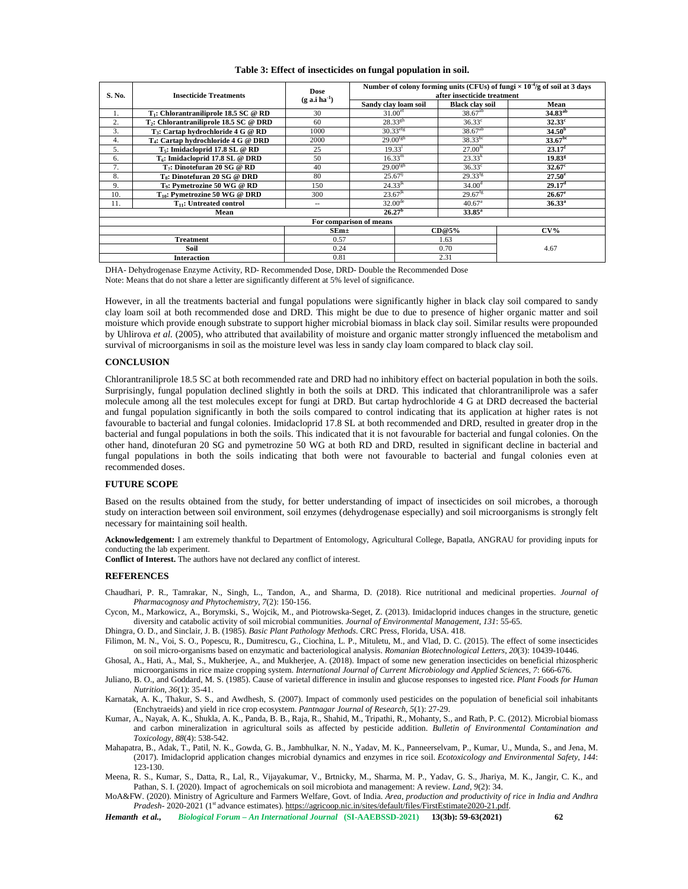#### **Table 3: Effect of insecticides on fungal population in soil.**

| S. No.             | <b>Insecticide Treatments</b>                   | Dose<br>$(g$ a.i ha <sup>-1</sup> ) | Number of colony forming units (CFUs) of fungi $\times 10^{-4}$ /g of soil at 3 days<br>after insecticide treatment |                        |                      |  |  |
|--------------------|-------------------------------------------------|-------------------------------------|---------------------------------------------------------------------------------------------------------------------|------------------------|----------------------|--|--|
|                    |                                                 |                                     | Sandy clay loam soil                                                                                                | <b>Black clay soil</b> | Mean                 |  |  |
| 1.                 | $T_1$ : Chlorantraniliprole 18.5 SC @ RD        | 30                                  | 31.00 <sup>et</sup>                                                                                                 | $38.67^{ab}$           | 34.83 <sup>ab</sup>  |  |  |
| 2.                 | $T_2$ : Chlorantraniliprole 18.5 SC @ DRD       | 60                                  | $28.33^{gh}$                                                                                                        | $36.33^{\circ}$        | $32.33^{\circ}$      |  |  |
| 3.                 | $T_3$ : Cartap hydrochloride 4 G @ RD           | 1000                                | $30.33$ <sup>efg</sup>                                                                                              | $38.67^{ab}$           | 34.50 <sup>b</sup>   |  |  |
| 4.                 | T <sub>4</sub> : Cartap hydrochloride 4 G @ DRD | 2000                                | $29.00$ <sup>fgh</sup>                                                                                              | $38.33^{bc}$           | $33.67^{bc}$         |  |  |
| 5.                 | $T5$ : Imidacloprid 17.8 SL @ RD                | 25                                  | 19.33 <sup>1</sup>                                                                                                  | 27.00 <sup>hi</sup>    | $23.17$ <sup>f</sup> |  |  |
| 6.                 | $T_6$ : Imidacloprid 17.8 SL @ DRD              | 50                                  | $16.33^{\rm m}$                                                                                                     | $23.33^{k}$            | $19.83$ <sup>g</sup> |  |  |
| 7.                 | T <sub>7</sub> : Dinotefuran 20 SG @ RD         | 40                                  | $29.00^{fgh}$                                                                                                       | $36.33^{\circ}$        | $32.67$ <sup>c</sup> |  |  |
| 8.                 | $T_s$ : Dinotefuran 20 SG @ DRD                 | 80                                  | $25.67^{i}$                                                                                                         | $29.33$ <sup>fg</sup>  | $27.50^{\circ}$      |  |  |
| 9.                 | T <sub>9</sub> : Pymetrozine 50 WG @ RD         | 150                                 | $24.33^{jk}$                                                                                                        | 34.00 <sup>d</sup>     | 29.17 <sup>d</sup>   |  |  |
| 10.                | $T_{10}$ : Pymetrozine 50 WG @ DRD              | 300                                 | $23.67^{jk}$                                                                                                        | $29.67$ <sup>fg</sup>  | $26.67^{\circ}$      |  |  |
| 11.                | $T_{11}$ : Untreated control                    | --                                  | $32.00^{\text{de}}$                                                                                                 | 40.67 <sup>a</sup>     | $36.33^a$            |  |  |
|                    | Mean                                            |                                     | 26.27 <sup>b</sup>                                                                                                  | $33.85^{\circ}$        |                      |  |  |
|                    |                                                 |                                     | For comparison of means                                                                                             |                        |                      |  |  |
|                    |                                                 | $SEm+$                              |                                                                                                                     | CD@5%                  | $CV\%$               |  |  |
| <b>Treatment</b>   |                                                 | 0.57                                |                                                                                                                     | 1.63                   |                      |  |  |
| Soil               |                                                 | 0.24                                |                                                                                                                     | 0.70                   | 4.67                 |  |  |
| <b>Interaction</b> |                                                 | 0.81                                |                                                                                                                     | 2.31                   |                      |  |  |

DHA- Dehydrogenase Enzyme Activity, RD- Recommended Dose, DRD- Double the Recommended Dose Note: Means that do not share a letter are significantly different at 5% level of significance.

However, in all the treatments bacterial and fungal populations were significantly higher in black clay soil compared to sandy clay loam soil at both recommended dose and DRD. This might be due to due to presence of higher organic matter and soil moisture which provide enough substrate to support higher microbial biomass in black clay soil. Similar results were propounded by Uhlirova *et al.* (2005), who attributed that availability of moisture and organic matter strongly influenced the metabolism and survival of microorganisms in soil as the moisture level was less in sandy clay loam compared to black clay soil.

### **CONCLUSION**

Chlorantraniliprole 18.5 SC at both recommended rate and DRD had no inhibitory effect on bacterial population in both the soils. Surprisingly, fungal population declined slightly in both the soils at DRD. This indicated that chlorantraniliprole was a safer molecule among all the test molecules except for fungi at DRD. But cartap hydrochloride 4 G at DRD decreased the bacterial and fungal population significantly in both the soils compared to control indicating that its application at higher rates is not favourable to bacterial and fungal colonies. Imidacloprid 17.8 SL at both recommended and DRD, resulted in greater drop in the bacterial and fungal populations in both the soils. This indicated that it is not favourable for bacterial and fungal colonies. On the other hand, dinotefuran 20 SG and pymetrozine 50 WG at both RD and DRD, resulted in significant decline in bacterial and fungal populations in both the soils indicating that both were not favourable to bacterial and fungal colonies even at recommended doses.

# **FUTURE SCOPE**

Based on the results obtained from the study, for better understanding of impact of insecticides on soil microbes, a thorough study on interaction between soil environment, soil enzymes (dehydrogenase especially) and soil microorganisms is strongly felt necessary for maintaining soil health.

**Acknowledgement:** I am extremely thankful to Department of Entomology, Agricultural College, Bapatla, ANGRAU for providing inputs for conducting the lab experiment.

**Conflict of Interest.** The authors have not declared any conflict of interest.

# **REFERENCES**

- Chaudhari, P. R., Tamrakar, N., Singh, L., Tandon, A., and Sharma, D. (2018). Rice nutritional and medicinal properties. *Journal of Pharmacognosy and Phytochemistry*, *7*(2): 150-156.
- Cycon, M., Markowicz, A., Borymski, S., Wojcik, M., and Piotrowska-Seget, Z. (2013). Imidacloprid induces changes in the structure, genetic diversity and catabolic activity of soil microbial communities. *Journal of Environmental Management*, *131*: 55-65.

Dhingra, O. D., and Sinclair, J. B. (1985). *Basic Plant Pathology Methods.* CRC Press, Florida, USA. 418.

- Filimon, M. N., Voi, S. O., Popescu, R., Dumitrescu, G., Ciochina, L. P., Mituletu, M., and Vlad, D. C. (2015). The effect of some insecticides on soil micro-organisms based on enzymatic and bacteriological analysis. *Romanian Biotechnological Letters*, *20*(3): 10439-10446.
- Ghosal, A., Hati, A., Mal, S., Mukherjee, A., and Mukherjee, A. (2018). Impact of some new generation insecticides on beneficial rhizospheric microorganisms in rice maize cropping system. *International Journal of Current Microbiology and Applied Sciences*, *7*: 666-676.
- Juliano, B. O., and Goddard, M. S. (1985). Cause of varietal difference in insulin and glucose responses to ingested rice. *Plant Foods for Human Nutrition*, *36*(1): 35-41.
- Karnatak, A. K., Thakur, S. S., and Awdhesh, S. (2007). Impact of commonly used pesticides on the population of beneficial soil inhabitants (Enchytraeids) and yield in rice crop ecosystem. *Pantnagar Journal of Research*, *5*(1): 27-29.
- Kumar, A., Nayak, A. K., Shukla, A. K., Panda, B. B., Raja, R., Shahid, M., Tripathi, R., Mohanty, S., and Rath, P. C. (2012). Microbial biomass and carbon mineralization in agricultural soils as affected by pesticide addition. *Bulletin of Environmental Contamination and Toxicology*, *88*(4): 538-542.
- Mahapatra, B., Adak, T., Patil, N. K., Gowda, G. B., Jambhulkar, N. N., Yadav, M. K., Panneerselvam, P., Kumar, U., Munda, S., and Jena, M. (2017). Imidacloprid application changes microbial dynamics and enzymes in rice soil. *Ecotoxicology and Environmental Safety*, *144*: 123-130.
- Meena, R. S., Kumar, S., Datta, R., Lal, R., Vijayakumar, V., Brtnicky, M., Sharma, M. P., Yadav, G. S., Jhariya, M. K., Jangir, C. K., and Pathan, S. I. (2020). Impact of agrochemicals on soil microbiota and management: A review. *Land*, *9*(2): 34.
- MoA&FW. (2020). Ministry of Agriculture and Farmers Welfare, Govt. of India. *Area, production and productivity of rice in India and Andhra Pradesh-* 2020-2021 (1<sup>st</sup> advance estimates). https://agricoop.nic.in/sites/default/files/FirstEstimate2020-21.pdf.

*Hemanth et al., Biological Forum – An International Journal* **(SI-AAEBSSD-2021) 13(3b): 59-63(2021) 62**